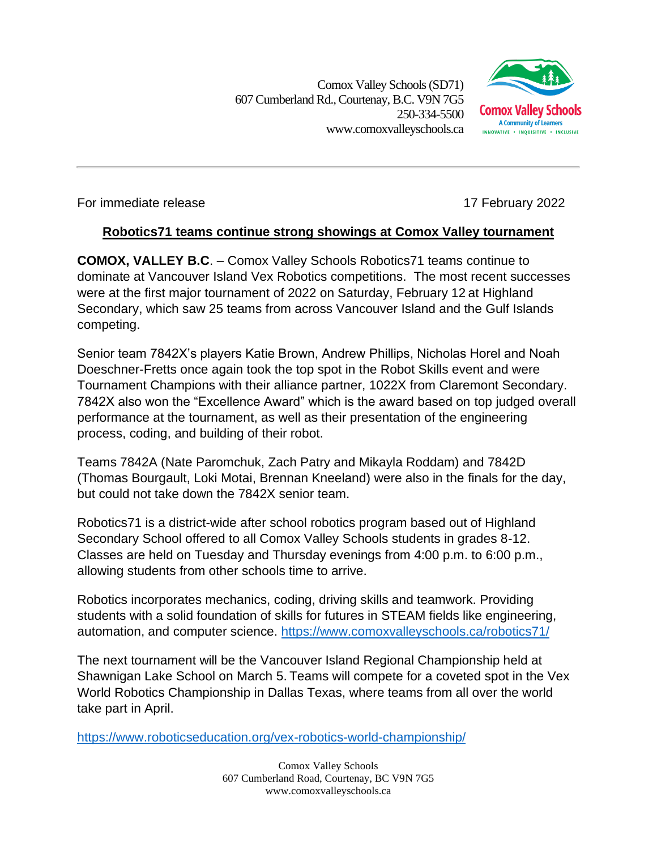Comox Valley Schools (SD71) 607 Cumberland Rd.,Courtenay, B.C. V9N 7G5 250-334-5500 www.comoxvalleyschools.ca



For immediate release 17 February 2022

## **Robotics71 teams continue strong showings at Comox Valley tournament**

**COMOX, VALLEY B.C**. – Comox Valley Schools Robotics71 teams continue to dominate at Vancouver Island Vex Robotics competitions. The most recent successes were at the first major tournament of 2022 on Saturday, February 12 at Highland Secondary, which saw 25 teams from across Vancouver Island and the Gulf Islands competing.

Senior team 7842X's players Katie Brown, Andrew Phillips, Nicholas Horel and Noah Doeschner-Fretts once again took the top spot in the Robot Skills event and were Tournament Champions with their alliance partner, 1022X from Claremont Secondary. 7842X also won the "Excellence Award" which is the award based on top judged overall performance at the tournament, as well as their presentation of the engineering process, coding, and building of their robot.

Teams 7842A (Nate Paromchuk, Zach Patry and Mikayla Roddam) and 7842D (Thomas Bourgault, Loki Motai, Brennan Kneeland) were also in the finals for the day, but could not take down the 7842X senior team.

Robotics71 is a district-wide after school robotics program based out of Highland Secondary School offered to all Comox Valley Schools students in grades 8-12. Classes are held on Tuesday and Thursday evenings from 4:00 p.m. to 6:00 p.m., allowing students from other schools time to arrive.

Robotics incorporates mechanics, coding, driving skills and teamwork. Providing students with a solid foundation of skills for futures in STEAM fields like engineering, automation, and computer science.<https://www.comoxvalleyschools.ca/robotics71/>

The next tournament will be the Vancouver Island Regional Championship held at Shawnigan Lake School on March 5. Teams will compete for a coveted spot in the Vex World Robotics Championship in Dallas Texas, where teams from all over the world take part in April.

<https://www.roboticseducation.org/vex-robotics-world-championship/>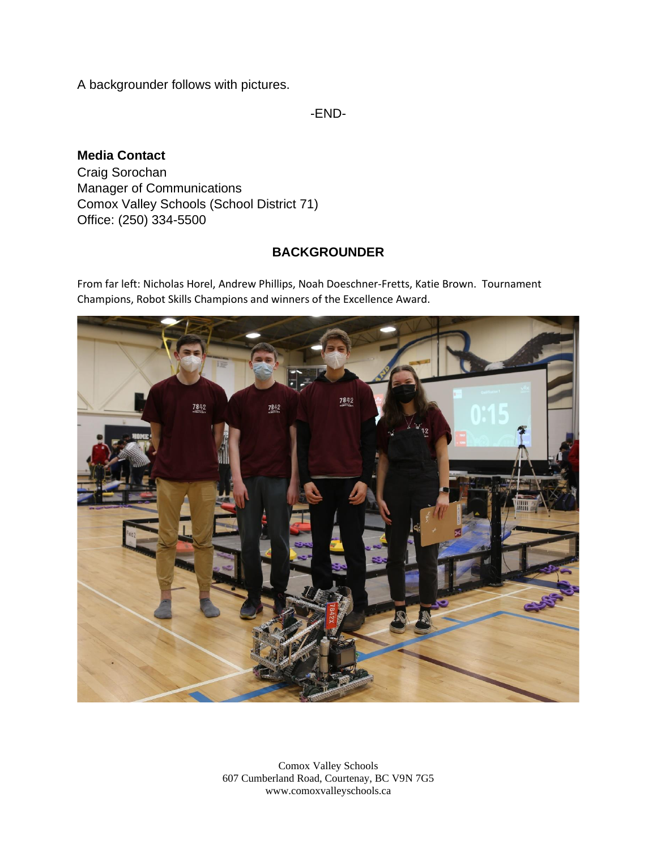A backgrounder follows with pictures.

-END-

## **Media Contact**

Craig Sorochan Manager of Communications Comox Valley Schools (School District 71) Office: (250) 334-5500

## **BACKGROUNDER**

From far left: Nicholas Horel, Andrew Phillips, Noah Doeschner-Fretts, Katie Brown. Tournament Champions, Robot Skills Champions and winners of the Excellence Award.



Comox Valley Schools 607 Cumberland Road, Courtenay, BC V9N 7G5 www.comoxvalleyschools.ca